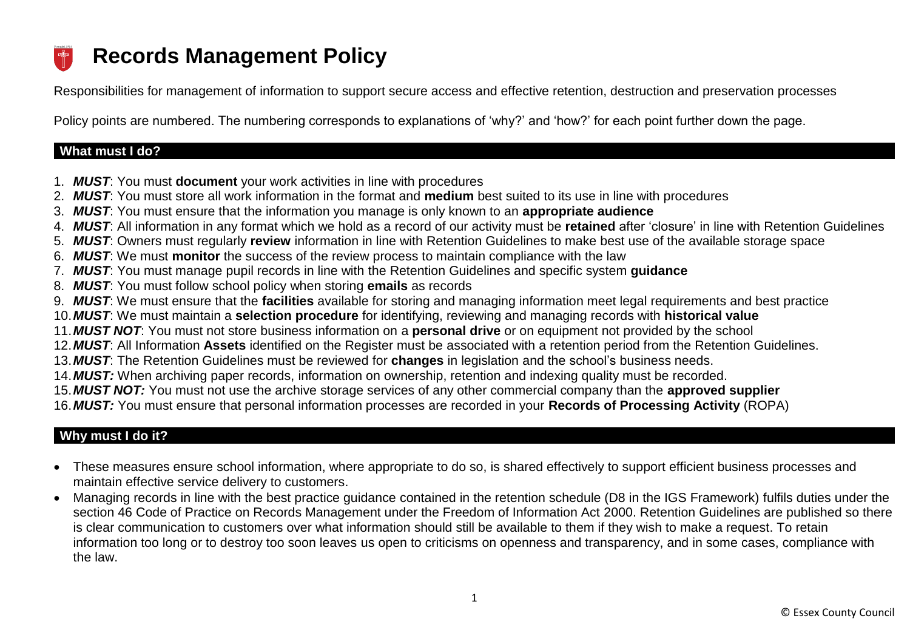#### **Records Management Policy**  $\mathbb{F}$

Responsibilities for management of information to support secure access and effective retention, destruction and preservation processes

Policy points are numbered. The numbering corresponds to explanations of 'why?' and 'how?' for each point further down the page.

### **What must I do?**

- 1. *MUST*: You must **document** your work activities in line with procedures
- 2. *MUST*: You must store all work information in the format and **medium** best suited to its use in line with procedures
- 3. *MUST*: You must ensure that the information you manage is only known to an **appropriate audience**
- 4. *MUST*: All information in any format which we hold as a record of our activity must be **retained** after 'closure' in line with Retention Guidelines
- 5. *MUST*: Owners must regularly **review** information in line with Retention Guidelines to make best use of the available storage space
- 6. *MUST*: We must **monitor** the success of the review process to maintain compliance with the law
- 7. *MUST*: You must manage pupil records in line with the Retention Guidelines and specific system **guidance**
- 8. *MUST*: You must follow school policy when storing **emails** as records
- 9. *MUST*: We must ensure that the **facilities** available for storing and managing information meet legal requirements and best practice
- 10.*MUST*: We must maintain a **selection procedure** for identifying, reviewing and managing records with **historical value**
- 11.*MUST NOT*: You must not store business information on a **personal drive** or on equipment not provided by the school
- 12.*MUST*: All Information **Assets** identified on the Register must be associated with a retention period from the Retention Guidelines.
- 13.*MUST*: The Retention Guidelines must be reviewed for **changes** in legislation and the school's business needs.
- 14.*MUST:* When archiving paper records, information on ownership, retention and indexing quality must be recorded.
- 15.*MUST NOT:* You must not use the archive storage services of any other commercial company than the **approved supplier**
- 16.*MUST:* You must ensure that personal information processes are recorded in your **Records of Processing Activity** (ROPA)

# **Why must I do it?**

- These measures ensure school information, where appropriate to do so, is shared effectively to support efficient business processes and maintain effective service delivery to customers.
- Managing records in line with the best practice guidance contained in the retention schedule (D8 in the IGS Framework) fulfils duties under the section 46 Code of Practice on Records Management under the Freedom of Information Act 2000. Retention Guidelines are published so there is clear communication to customers over what information should still be available to them if they wish to make a request. To retain information too long or to destroy too soon leaves us open to criticisms on openness and transparency, and in some cases, compliance with the law.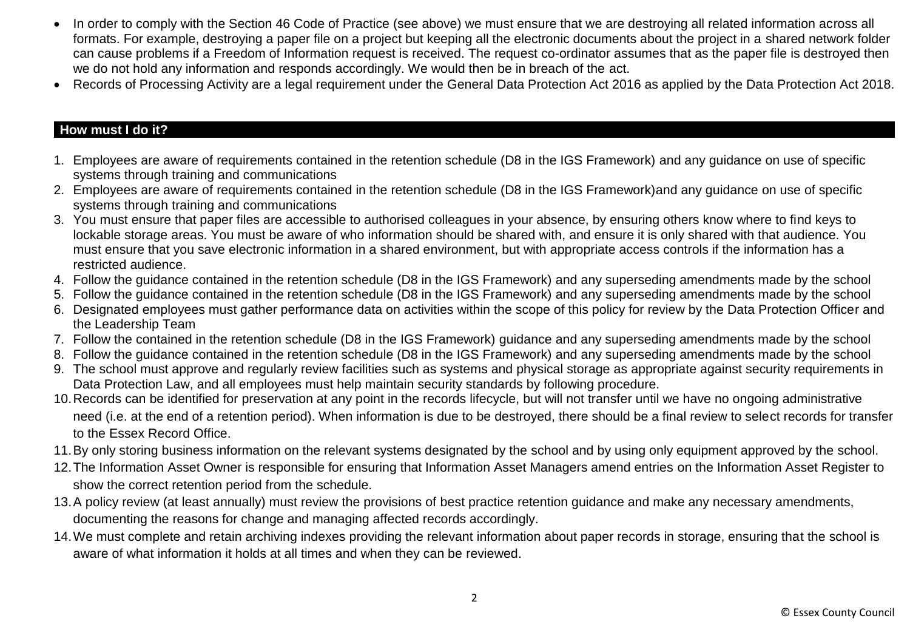- In order to comply with the Section 46 Code of Practice (see above) we must ensure that we are destroying all related information across all formats. For example, destroying a paper file on a project but keeping all the electronic documents about the project in a shared network folder can cause problems if a Freedom of Information request is received. The request co-ordinator assumes that as the paper file is destroyed then we do not hold any information and responds accordingly. We would then be in breach of the act.
- Records of Processing Activity are a legal requirement under the General Data Protection Act 2016 as applied by the Data Protection Act 2018.

## **How must I do it?**

- 1. Employees are aware of requirements contained in the retention schedule (D8 in the IGS Framework) and any guidance on use of specific systems through training and communications
- 2. Employees are aware of requirements contained in the retention schedule (D8 in the IGS Framework)and any guidance on use of specific systems through training and communications
- 3. You must ensure that paper files are accessible to authorised colleagues in your absence, by ensuring others know where to find keys to lockable storage areas. You must be aware of who information should be shared with, and ensure it is only shared with that audience. You must ensure that you save electronic information in a shared environment, but with appropriate access controls if the information has a restricted audience.
- 4. Follow the guidance contained in the retention schedule (D8 in the IGS Framework) and any superseding amendments made by the school
- 5. Follow the guidance contained in the retention schedule (D8 in the IGS Framework) and any superseding amendments made by the school
- 6. Designated employees must gather performance data on activities within the scope of this policy for review by the Data Protection Officer and the Leadership Team
- 7. Follow the contained in the retention schedule (D8 in the IGS Framework) guidance and any superseding amendments made by the school
- 8. Follow the guidance contained in the retention schedule (D8 in the IGS Framework) and any superseding amendments made by the school
- 9. The school must approve and regularly review facilities such as systems and physical storage as appropriate against security requirements in Data Protection Law, and all employees must help maintain security standards by following procedure.
- 10.Records can be identified for preservation at any point in the records lifecycle, but will not transfer until we have no ongoing administrative need (i.e. at the end of a retention period). When information is due to be destroyed, there should be a final review to select records for transfer to the Essex Record Office.
- 11.By only storing business information on the relevant systems designated by the school and by using only equipment approved by the school.
- 12.The Information Asset Owner is responsible for ensuring that Information Asset Managers amend entries on the Information Asset Register to show the correct retention period from the schedule.
- 13.A policy review (at least annually) must review the provisions of best practice retention guidance and make any necessary amendments, documenting the reasons for change and managing affected records accordingly.
- 14.We must complete and retain archiving indexes providing the relevant information about paper records in storage, ensuring that the school is aware of what information it holds at all times and when they can be reviewed.